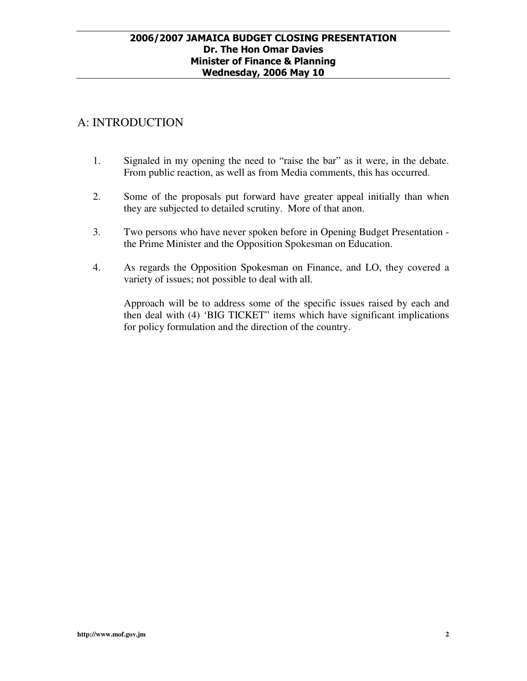# A: INTRODUCTION

- 1. Signaled in my opening the need to "raise the bar" as it were, in the debate. From public reaction, as well as from Media comments, this has occurred.
- 2. Some of the proposals put forward have greater appeal initially than when they are subjected to detailed scrutiny. More of that anon.
- 3. Two persons who have never spoken before in Opening Budget Presentation the Prime Minister and the Opposition Spokesman on Education.
- 4. As regards the Opposition Spokesman on Finance, and LO, they covered a variety of issues; not possible to deal with all.

Approach will be to address some of the specific issues raised by each and then deal with (4) 'BIG TICKET" items which have significant implications for policy formulation and the direction of the country.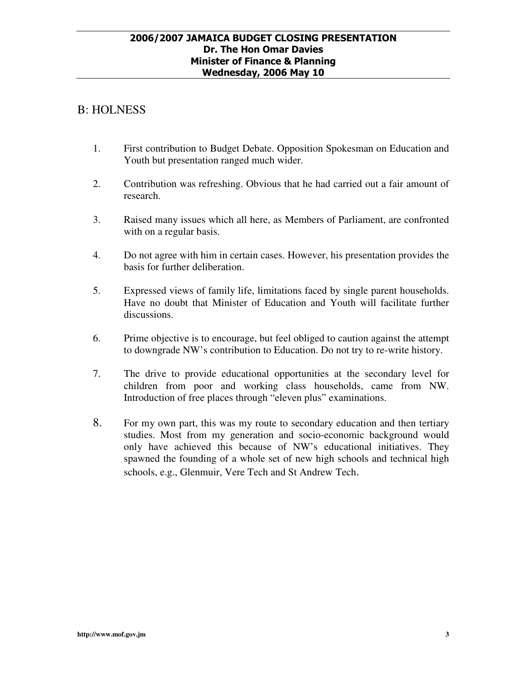## B: HOLNESS

- 1. First contribution to Budget Debate. Opposition Spokesman on Education and Youth but presentation ranged much wider.
- 2. Contribution was refreshing. Obvious that he had carried out a fair amount of research.
- 3. Raised many issues which all here, as Members of Parliament, are confronted with on a regular basis.
- 4. Do not agree with him in certain cases. However, his presentation provides the basis for further deliberation.
- 5. Expressed views of family life, limitations faced by single parent households. Have no doubt that Minister of Education and Youth will facilitate further discussions.
- 6. Prime objective is to encourage, but feel obliged to caution against the attempt to downgrade NW's contribution to Education. Do not try to re-write history.
- 7. The drive to provide educational opportunities at the secondary level for children from poor and working class households, came from NW. Introduction of free places through "eleven plus" examinations.
- 8. For my own part, this was my route to secondary education and then tertiary studies. Most from my generation and socio-economic background would only have achieved this because of NW's educational initiatives. They spawned the founding of a whole set of new high schools and technical high schools, e.g., Glenmuir, Vere Tech and St Andrew Tech.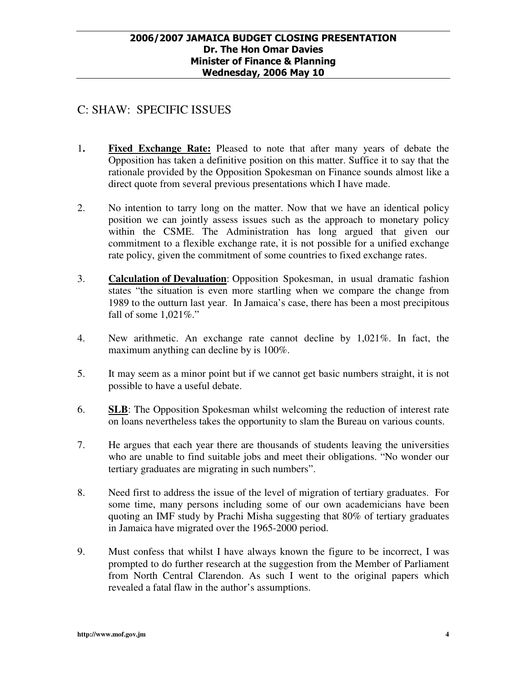# C: SHAW: SPECIFIC ISSUES

- 1**. Fixed Exchange Rate:** Pleased to note that after many years of debate the Opposition has taken a definitive position on this matter. Suffice it to say that the rationale provided by the Opposition Spokesman on Finance sounds almost like a direct quote from several previous presentations which I have made.
- 2. No intention to tarry long on the matter. Now that we have an identical policy position we can jointly assess issues such as the approach to monetary policy within the CSME. The Administration has long argued that given our commitment to a flexible exchange rate, it is not possible for a unified exchange rate policy, given the commitment of some countries to fixed exchange rates.
- 3. **Calculation of Devaluation**: Opposition Spokesman, in usual dramatic fashion states "the situation is even more startling when we compare the change from 1989 to the outturn last year. In Jamaica's case, there has been a most precipitous fall of some  $1,021\%$ ."
- 4. New arithmetic. An exchange rate cannot decline by 1,021%. In fact, the maximum anything can decline by is 100%.
- 5. It may seem as a minor point but if we cannot get basic numbers straight, it is not possible to have a useful debate.
- 6. **SLB**: The Opposition Spokesman whilst welcoming the reduction of interest rate on loans nevertheless takes the opportunity to slam the Bureau on various counts.
- 7. He argues that each year there are thousands of students leaving the universities who are unable to find suitable jobs and meet their obligations. "No wonder our tertiary graduates are migrating in such numbers".
- 8. Need first to address the issue of the level of migration of tertiary graduates. For some time, many persons including some of our own academicians have been quoting an IMF study by Prachi Misha suggesting that 80% of tertiary graduates in Jamaica have migrated over the 1965-2000 period.
- 9. Must confess that whilst I have always known the figure to be incorrect, I was prompted to do further research at the suggestion from the Member of Parliament from North Central Clarendon. As such I went to the original papers which revealed a fatal flaw in the author's assumptions.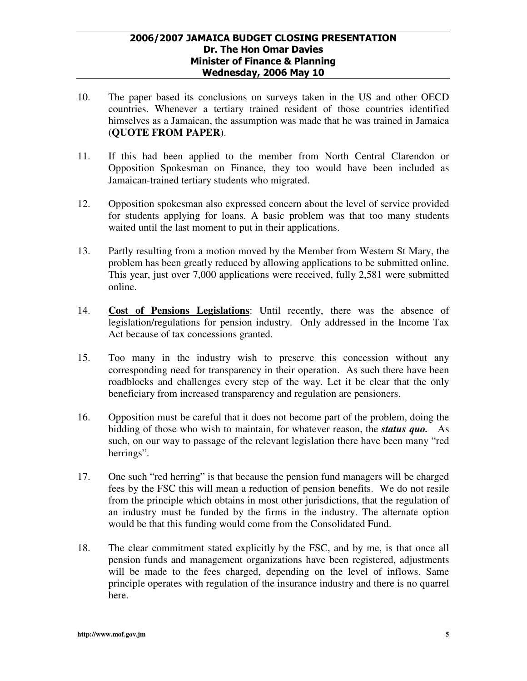- 10. The paper based its conclusions on surveys taken in the US and other OECD countries. Whenever a tertiary trained resident of those countries identified himselves as a Jamaican, the assumption was made that he was trained in Jamaica (**QUOTE FROM PAPER**).
- 11. If this had been applied to the member from North Central Clarendon or Opposition Spokesman on Finance, they too would have been included as Jamaican-trained tertiary students who migrated.
- 12. Opposition spokesman also expressed concern about the level of service provided for students applying for loans. A basic problem was that too many students waited until the last moment to put in their applications.
- 13. Partly resulting from a motion moved by the Member from Western St Mary, the problem has been greatly reduced by allowing applications to be submitted online. This year, just over 7,000 applications were received, fully 2,581 were submitted online.
- 14. **Cost of Pensions Legislations**: Until recently, there was the absence of legislation/regulations for pension industry. Only addressed in the Income Tax Act because of tax concessions granted.
- 15. Too many in the industry wish to preserve this concession without any corresponding need for transparency in their operation. As such there have been roadblocks and challenges every step of the way. Let it be clear that the only beneficiary from increased transparency and regulation are pensioners.
- 16. Opposition must be careful that it does not become part of the problem, doing the bidding of those who wish to maintain, for whatever reason, the *status quo.* As such, on our way to passage of the relevant legislation there have been many "red herrings".
- 17. One such "red herring" is that because the pension fund managers will be charged fees by the FSC this will mean a reduction of pension benefits. We do not resile from the principle which obtains in most other jurisdictions, that the regulation of an industry must be funded by the firms in the industry. The alternate option would be that this funding would come from the Consolidated Fund.
- 18. The clear commitment stated explicitly by the FSC, and by me, is that once all pension funds and management organizations have been registered, adjustments will be made to the fees charged, depending on the level of inflows. Same principle operates with regulation of the insurance industry and there is no quarrel here.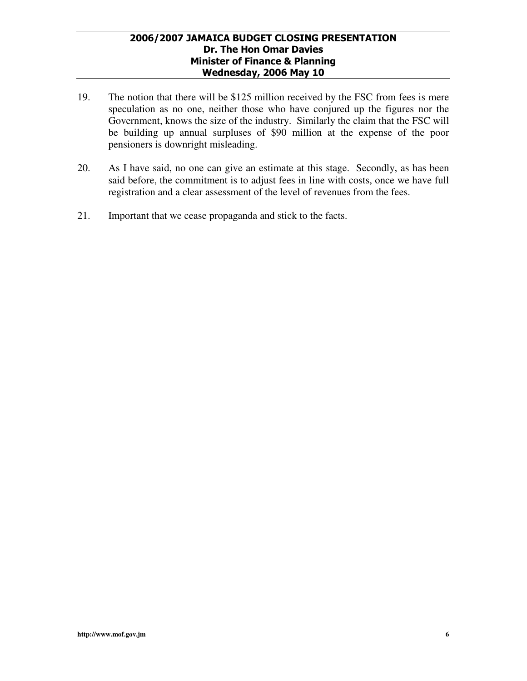- 19. The notion that there will be \$125 million received by the FSC from fees is mere speculation as no one, neither those who have conjured up the figures nor the Government, knows the size of the industry. Similarly the claim that the FSC will be building up annual surpluses of \$90 million at the expense of the poor pensioners is downright misleading.
- 20. As I have said, no one can give an estimate at this stage. Secondly, as has been said before, the commitment is to adjust fees in line with costs, once we have full registration and a clear assessment of the level of revenues from the fees.
- 21. Important that we cease propaganda and stick to the facts.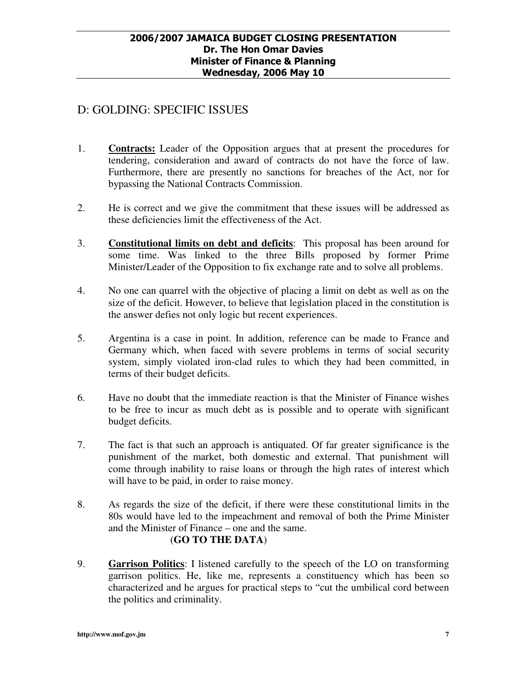# D: GOLDING: SPECIFIC ISSUES

- 1. **Contracts:** Leader of the Opposition argues that at present the procedures for tendering, consideration and award of contracts do not have the force of law. Furthermore, there are presently no sanctions for breaches of the Act, nor for bypassing the National Contracts Commission.
- 2. He is correct and we give the commitment that these issues will be addressed as these deficiencies limit the effectiveness of the Act.
- 3. **Constitutional limits on debt and deficits**: This proposal has been around for some time. Was linked to the three Bills proposed by former Prime Minister/Leader of the Opposition to fix exchange rate and to solve all problems.
- 4. No one can quarrel with the objective of placing a limit on debt as well as on the size of the deficit. However, to believe that legislation placed in the constitution is the answer defies not only logic but recent experiences.
- 5. Argentina is a case in point. In addition, reference can be made to France and Germany which, when faced with severe problems in terms of social security system, simply violated iron-clad rules to which they had been committed, in terms of their budget deficits.
- 6. Have no doubt that the immediate reaction is that the Minister of Finance wishes to be free to incur as much debt as is possible and to operate with significant budget deficits.
- 7. The fact is that such an approach is antiquated. Of far greater significance is the punishment of the market, both domestic and external. That punishment will come through inability to raise loans or through the high rates of interest which will have to be paid, in order to raise money.
- 8. As regards the size of the deficit, if there were these constitutional limits in the 80s would have led to the impeachment and removal of both the Prime Minister and the Minister of Finance – one and the same. (**GO TO THE DATA**)
- 9. **Garrison Politics**: I listened carefully to the speech of the LO on transforming garrison politics. He, like me, represents a constituency which has been so characterized and he argues for practical steps to "cut the umbilical cord between the politics and criminality.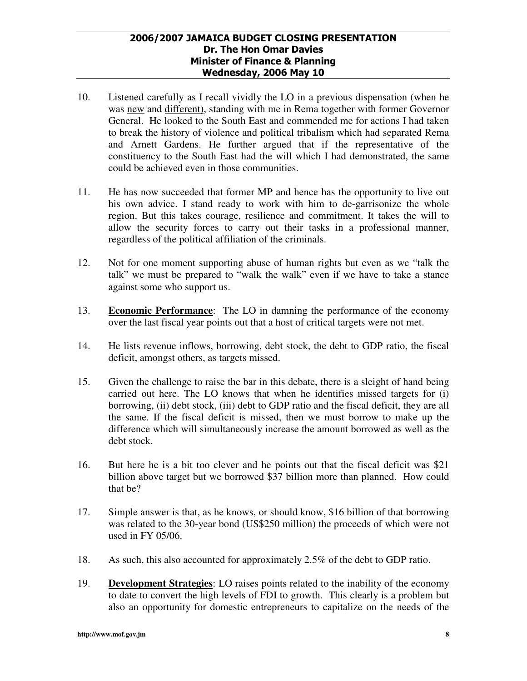- 10. Listened carefully as I recall vividly the LO in a previous dispensation (when he was new and different), standing with me in Rema together with former Governor General. He looked to the South East and commended me for actions I had taken to break the history of violence and political tribalism which had separated Rema and Arnett Gardens. He further argued that if the representative of the constituency to the South East had the will which I had demonstrated, the same could be achieved even in those communities.
- 11. He has now succeeded that former MP and hence has the opportunity to live out his own advice. I stand ready to work with him to de-garrisonize the whole region. But this takes courage, resilience and commitment. It takes the will to allow the security forces to carry out their tasks in a professional manner, regardless of the political affiliation of the criminals.
- 12. Not for one moment supporting abuse of human rights but even as we "talk the talk" we must be prepared to "walk the walk" even if we have to take a stance against some who support us.
- 13. **Economic Performance**: The LO in damning the performance of the economy over the last fiscal year points out that a host of critical targets were not met.
- 14. He lists revenue inflows, borrowing, debt stock, the debt to GDP ratio, the fiscal deficit, amongst others, as targets missed.
- 15. Given the challenge to raise the bar in this debate, there is a sleight of hand being carried out here. The LO knows that when he identifies missed targets for (i) borrowing, (ii) debt stock, (iii) debt to GDP ratio and the fiscal deficit, they are all the same. If the fiscal deficit is missed, then we must borrow to make up the difference which will simultaneously increase the amount borrowed as well as the debt stock.
- 16. But here he is a bit too clever and he points out that the fiscal deficit was \$21 billion above target but we borrowed \$37 billion more than planned. How could that be?
- 17. Simple answer is that, as he knows, or should know, \$16 billion of that borrowing was related to the 30-year bond (US\$250 million) the proceeds of which were not used in FY 05/06.
- 18. As such, this also accounted for approximately 2.5% of the debt to GDP ratio.
- 19. **Development Strategies**: LO raises points related to the inability of the economy to date to convert the high levels of FDI to growth. This clearly is a problem but also an opportunity for domestic entrepreneurs to capitalize on the needs of the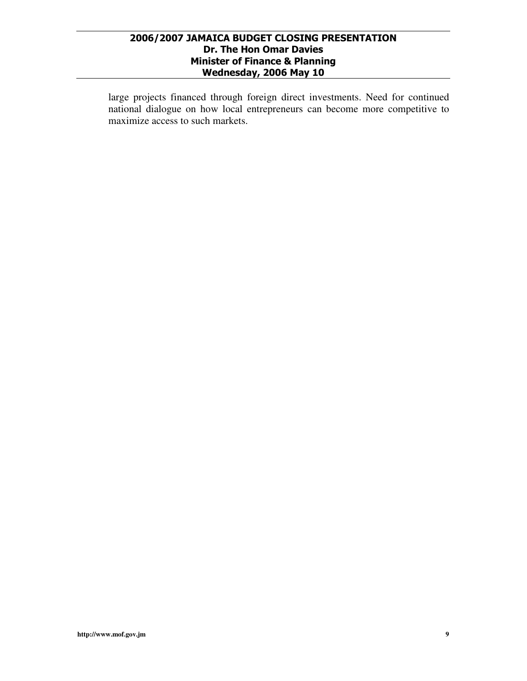large projects financed through foreign direct investments. Need for continued national dialogue on how local entrepreneurs can become more competitive to maximize access to such markets.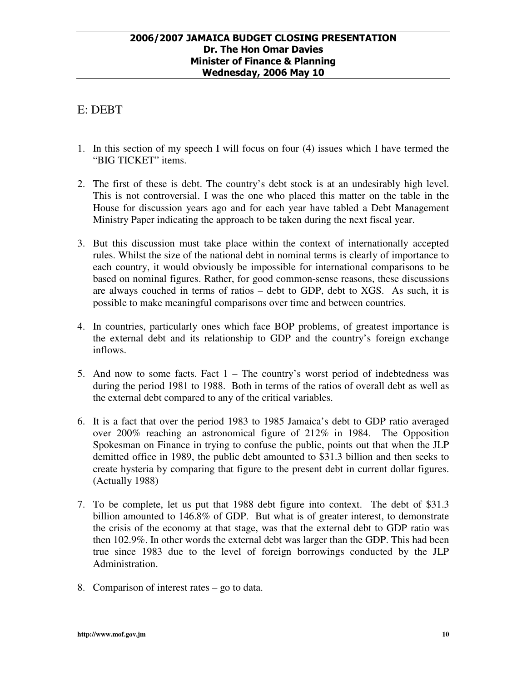# E: DEBT

- 1. In this section of my speech I will focus on four (4) issues which I have termed the "BIG TICKET" items.
- 2. The first of these is debt. The country's debt stock is at an undesirably high level. This is not controversial. I was the one who placed this matter on the table in the House for discussion years ago and for each year have tabled a Debt Management Ministry Paper indicating the approach to be taken during the next fiscal year.
- 3. But this discussion must take place within the context of internationally accepted rules. Whilst the size of the national debt in nominal terms is clearly of importance to each country, it would obviously be impossible for international comparisons to be based on nominal figures. Rather, for good common-sense reasons, these discussions are always couched in terms of ratios – debt to GDP, debt to XGS. As such, it is possible to make meaningful comparisons over time and between countries.
- 4. In countries, particularly ones which face BOP problems, of greatest importance is the external debt and its relationship to GDP and the country's foreign exchange inflows.
- 5. And now to some facts. Fact 1 The country's worst period of indebtedness was during the period 1981 to 1988. Both in terms of the ratios of overall debt as well as the external debt compared to any of the critical variables.
- 6. It is a fact that over the period 1983 to 1985 Jamaica's debt to GDP ratio averaged over 200% reaching an astronomical figure of 212% in 1984. The Opposition Spokesman on Finance in trying to confuse the public, points out that when the JLP demitted office in 1989, the public debt amounted to \$31.3 billion and then seeks to create hysteria by comparing that figure to the present debt in current dollar figures. (Actually 1988)
- 7. To be complete, let us put that 1988 debt figure into context. The debt of \$31.3 billion amounted to 146.8% of GDP. But what is of greater interest, to demonstrate the crisis of the economy at that stage, was that the external debt to GDP ratio was then 102.9%. In other words the external debt was larger than the GDP. This had been true since 1983 due to the level of foreign borrowings conducted by the JLP Administration.
- 8. Comparison of interest rates go to data.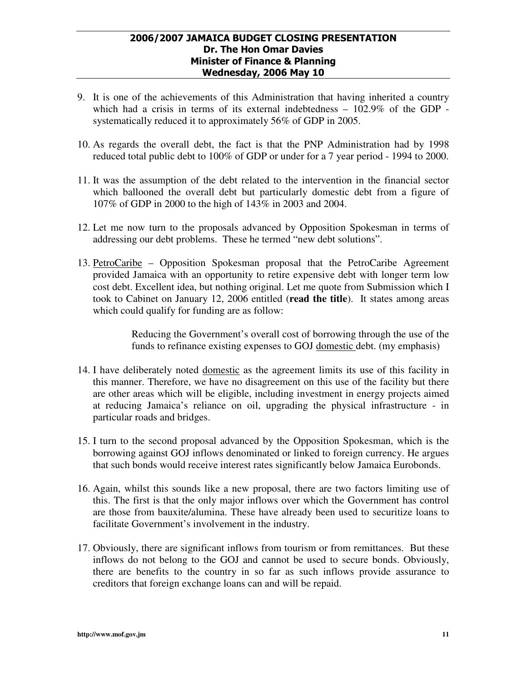- 9. It is one of the achievements of this Administration that having inherited a country which had a crisis in terms of its external indebtedness – 102.9% of the GDP systematically reduced it to approximately 56% of GDP in 2005.
- 10. As regards the overall debt, the fact is that the PNP Administration had by 1998 reduced total public debt to 100% of GDP or under for a 7 year period - 1994 to 2000.
- 11. It was the assumption of the debt related to the intervention in the financial sector which ballooned the overall debt but particularly domestic debt from a figure of 107% of GDP in 2000 to the high of 143% in 2003 and 2004.
- 12. Let me now turn to the proposals advanced by Opposition Spokesman in terms of addressing our debt problems. These he termed "new debt solutions".
- 13. PetroCaribe Opposition Spokesman proposal that the PetroCaribe Agreement provided Jamaica with an opportunity to retire expensive debt with longer term low cost debt. Excellent idea, but nothing original. Let me quote from Submission which I took to Cabinet on January 12, 2006 entitled (**read the title**). It states among areas which could qualify for funding are as follow:

Reducing the Government's overall cost of borrowing through the use of the funds to refinance existing expenses to GOJ domestic debt. (my emphasis)

- 14. I have deliberately noted domestic as the agreement limits its use of this facility in this manner. Therefore, we have no disagreement on this use of the facility but there are other areas which will be eligible, including investment in energy projects aimed at reducing Jamaica's reliance on oil, upgrading the physical infrastructure - in particular roads and bridges.
- 15. I turn to the second proposal advanced by the Opposition Spokesman, which is the borrowing against GOJ inflows denominated or linked to foreign currency. He argues that such bonds would receive interest rates significantly below Jamaica Eurobonds.
- 16. Again, whilst this sounds like a new proposal, there are two factors limiting use of this. The first is that the only major inflows over which the Government has control are those from bauxite/alumina. These have already been used to securitize loans to facilitate Government's involvement in the industry.
- 17. Obviously, there are significant inflows from tourism or from remittances. But these inflows do not belong to the GOJ and cannot be used to secure bonds. Obviously, there are benefits to the country in so far as such inflows provide assurance to creditors that foreign exchange loans can and will be repaid.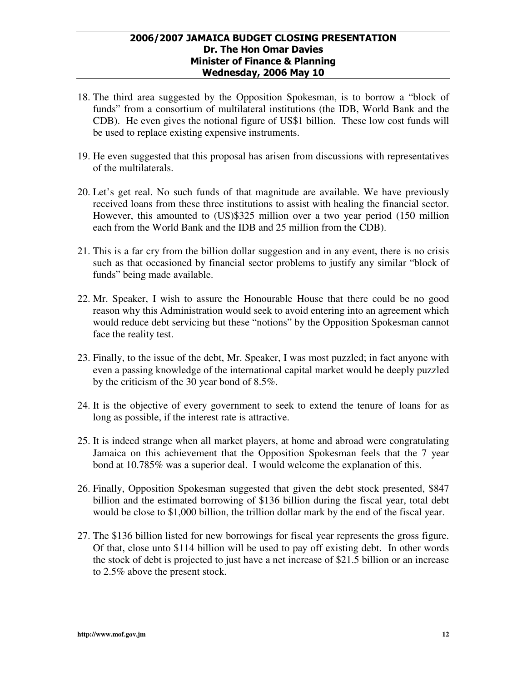- 18. The third area suggested by the Opposition Spokesman, is to borrow a "block of funds" from a consortium of multilateral institutions (the IDB, World Bank and the CDB). He even gives the notional figure of US\$1 billion. These low cost funds will be used to replace existing expensive instruments.
- 19. He even suggested that this proposal has arisen from discussions with representatives of the multilaterals.
- 20. Let's get real. No such funds of that magnitude are available. We have previously received loans from these three institutions to assist with healing the financial sector. However, this amounted to (US)\$325 million over a two year period (150 million each from the World Bank and the IDB and 25 million from the CDB).
- 21. This is a far cry from the billion dollar suggestion and in any event, there is no crisis such as that occasioned by financial sector problems to justify any similar "block of funds" being made available.
- 22. Mr. Speaker, I wish to assure the Honourable House that there could be no good reason why this Administration would seek to avoid entering into an agreement which would reduce debt servicing but these "notions" by the Opposition Spokesman cannot face the reality test.
- 23. Finally, to the issue of the debt, Mr. Speaker, I was most puzzled; in fact anyone with even a passing knowledge of the international capital market would be deeply puzzled by the criticism of the 30 year bond of 8.5%.
- 24. It is the objective of every government to seek to extend the tenure of loans for as long as possible, if the interest rate is attractive.
- 25. It is indeed strange when all market players, at home and abroad were congratulating Jamaica on this achievement that the Opposition Spokesman feels that the 7 year bond at 10.785% was a superior deal. I would welcome the explanation of this.
- 26. Finally, Opposition Spokesman suggested that given the debt stock presented, \$847 billion and the estimated borrowing of \$136 billion during the fiscal year, total debt would be close to \$1,000 billion, the trillion dollar mark by the end of the fiscal year.
- 27. The \$136 billion listed for new borrowings for fiscal year represents the gross figure. Of that, close unto \$114 billion will be used to pay off existing debt. In other words the stock of debt is projected to just have a net increase of \$21.5 billion or an increase to 2.5% above the present stock.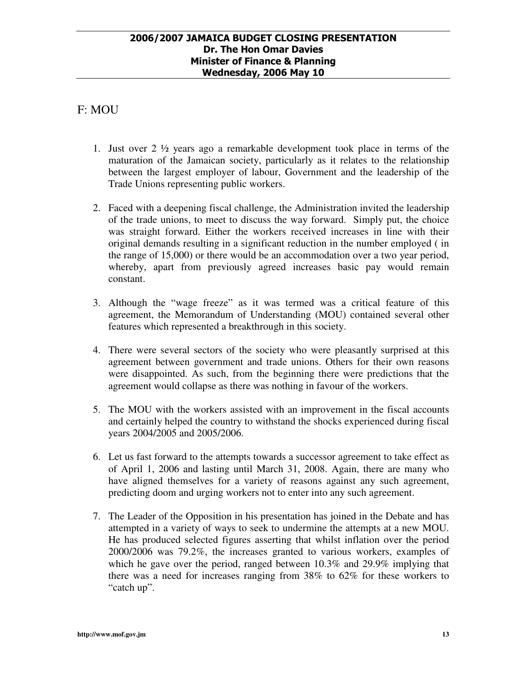# F: MOU

- 1. Just over 2 ½ years ago a remarkable development took place in terms of the maturation of the Jamaican society, particularly as it relates to the relationship between the largest employer of labour, Government and the leadership of the Trade Unions representing public workers.
- 2. Faced with a deepening fiscal challenge, the Administration invited the leadership of the trade unions, to meet to discuss the way forward. Simply put, the choice was straight forward. Either the workers received increases in line with their original demands resulting in a significant reduction in the number employed ( in the range of 15,000) or there would be an accommodation over a two year period, whereby, apart from previously agreed increases basic pay would remain constant.
- 3. Although the "wage freeze" as it was termed was a critical feature of this agreement, the Memorandum of Understanding (MOU) contained several other features which represented a breakthrough in this society.
- 4. There were several sectors of the society who were pleasantly surprised at this agreement between government and trade unions. Others for their own reasons were disappointed. As such, from the beginning there were predictions that the agreement would collapse as there was nothing in favour of the workers.
- 5. The MOU with the workers assisted with an improvement in the fiscal accounts and certainly helped the country to withstand the shocks experienced during fiscal years 2004/2005 and 2005/2006.
- 6. Let us fast forward to the attempts towards a successor agreement to take effect as of April 1, 2006 and lasting until March 31, 2008. Again, there are many who have aligned themselves for a variety of reasons against any such agreement, predicting doom and urging workers not to enter into any such agreement.
- 7. The Leader of the Opposition in his presentation has joined in the Debate and has attempted in a variety of ways to seek to undermine the attempts at a new MOU. He has produced selected figures asserting that whilst inflation over the period 2000/2006 was 79.2%, the increases granted to various workers, examples of which he gave over the period, ranged between 10.3% and 29.9% implying that there was a need for increases ranging from 38% to 62% for these workers to "catch up".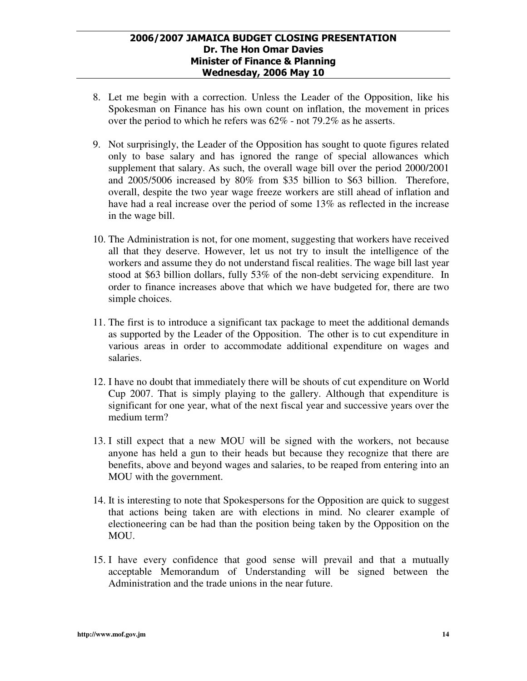- 8. Let me begin with a correction. Unless the Leader of the Opposition, like his Spokesman on Finance has his own count on inflation, the movement in prices over the period to which he refers was 62% - not 79.2% as he asserts.
- 9. Not surprisingly, the Leader of the Opposition has sought to quote figures related only to base salary and has ignored the range of special allowances which supplement that salary. As such, the overall wage bill over the period 2000/2001 and 2005/5006 increased by 80% from \$35 billion to \$63 billion. Therefore, overall, despite the two year wage freeze workers are still ahead of inflation and have had a real increase over the period of some 13% as reflected in the increase in the wage bill.
- 10. The Administration is not, for one moment, suggesting that workers have received all that they deserve. However, let us not try to insult the intelligence of the workers and assume they do not understand fiscal realities. The wage bill last year stood at \$63 billion dollars, fully 53% of the non-debt servicing expenditure. In order to finance increases above that which we have budgeted for, there are two simple choices.
- 11. The first is to introduce a significant tax package to meet the additional demands as supported by the Leader of the Opposition. The other is to cut expenditure in various areas in order to accommodate additional expenditure on wages and salaries.
- 12. I have no doubt that immediately there will be shouts of cut expenditure on World Cup 2007. That is simply playing to the gallery. Although that expenditure is significant for one year, what of the next fiscal year and successive years over the medium term?
- 13. I still expect that a new MOU will be signed with the workers, not because anyone has held a gun to their heads but because they recognize that there are benefits, above and beyond wages and salaries, to be reaped from entering into an MOU with the government.
- 14. It is interesting to note that Spokespersons for the Opposition are quick to suggest that actions being taken are with elections in mind. No clearer example of electioneering can be had than the position being taken by the Opposition on the MOU.
- 15. I have every confidence that good sense will prevail and that a mutually acceptable Memorandum of Understanding will be signed between the Administration and the trade unions in the near future.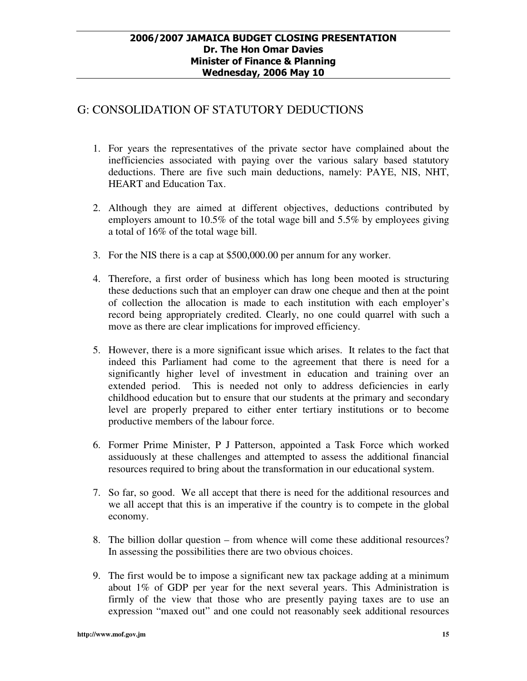### G: CONSOLIDATION OF STATUTORY DEDUCTIONS

- 1. For years the representatives of the private sector have complained about the inefficiencies associated with paying over the various salary based statutory deductions. There are five such main deductions, namely: PAYE, NIS, NHT, HEART and Education Tax.
- 2. Although they are aimed at different objectives, deductions contributed by employers amount to 10.5% of the total wage bill and 5.5% by employees giving a total of 16% of the total wage bill.
- 3. For the NIS there is a cap at \$500,000.00 per annum for any worker.
- 4. Therefore, a first order of business which has long been mooted is structuring these deductions such that an employer can draw one cheque and then at the point of collection the allocation is made to each institution with each employer's record being appropriately credited. Clearly, no one could quarrel with such a move as there are clear implications for improved efficiency.
- 5. However, there is a more significant issue which arises. It relates to the fact that indeed this Parliament had come to the agreement that there is need for a significantly higher level of investment in education and training over an extended period. This is needed not only to address deficiencies in early childhood education but to ensure that our students at the primary and secondary level are properly prepared to either enter tertiary institutions or to become productive members of the labour force.
- 6. Former Prime Minister, P J Patterson, appointed a Task Force which worked assiduously at these challenges and attempted to assess the additional financial resources required to bring about the transformation in our educational system.
- 7. So far, so good. We all accept that there is need for the additional resources and we all accept that this is an imperative if the country is to compete in the global economy.
- 8. The billion dollar question from whence will come these additional resources? In assessing the possibilities there are two obvious choices.
- 9. The first would be to impose a significant new tax package adding at a minimum about 1% of GDP per year for the next several years. This Administration is firmly of the view that those who are presently paying taxes are to use an expression "maxed out" and one could not reasonably seek additional resources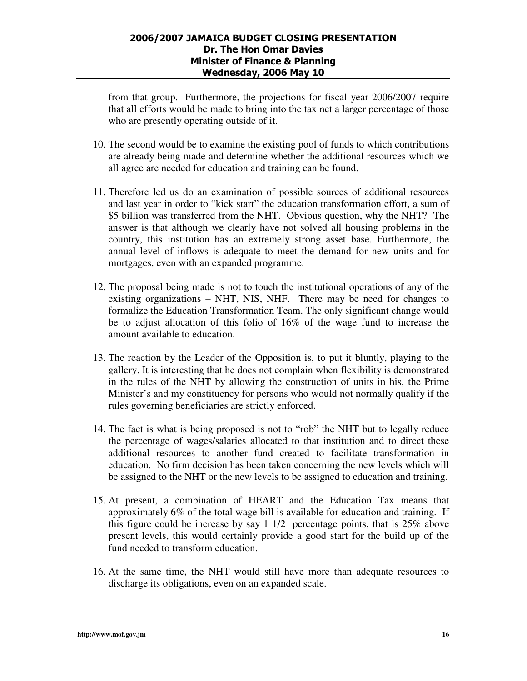from that group. Furthermore, the projections for fiscal year 2006/2007 require that all efforts would be made to bring into the tax net a larger percentage of those who are presently operating outside of it.

- 10. The second would be to examine the existing pool of funds to which contributions are already being made and determine whether the additional resources which we all agree are needed for education and training can be found.
- 11. Therefore led us do an examination of possible sources of additional resources and last year in order to "kick start" the education transformation effort, a sum of \$5 billion was transferred from the NHT. Obvious question, why the NHT? The answer is that although we clearly have not solved all housing problems in the country, this institution has an extremely strong asset base. Furthermore, the annual level of inflows is adequate to meet the demand for new units and for mortgages, even with an expanded programme.
- 12. The proposal being made is not to touch the institutional operations of any of the existing organizations – NHT, NIS, NHF. There may be need for changes to formalize the Education Transformation Team. The only significant change would be to adjust allocation of this folio of 16% of the wage fund to increase the amount available to education.
- 13. The reaction by the Leader of the Opposition is, to put it bluntly, playing to the gallery. It is interesting that he does not complain when flexibility is demonstrated in the rules of the NHT by allowing the construction of units in his, the Prime Minister's and my constituency for persons who would not normally qualify if the rules governing beneficiaries are strictly enforced.
- 14. The fact is what is being proposed is not to "rob" the NHT but to legally reduce the percentage of wages/salaries allocated to that institution and to direct these additional resources to another fund created to facilitate transformation in education. No firm decision has been taken concerning the new levels which will be assigned to the NHT or the new levels to be assigned to education and training.
- 15. At present, a combination of HEART and the Education Tax means that approximately 6% of the total wage bill is available for education and training. If this figure could be increase by say 1 1/2 percentage points, that is 25% above present levels, this would certainly provide a good start for the build up of the fund needed to transform education.
- 16. At the same time, the NHT would still have more than adequate resources to discharge its obligations, even on an expanded scale.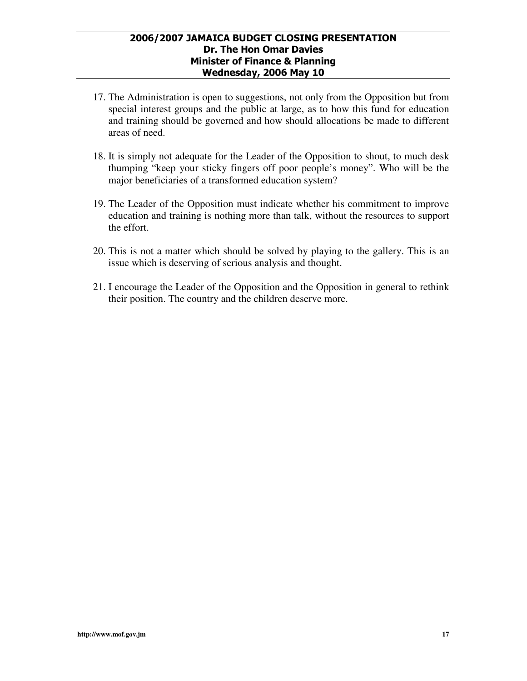- 17. The Administration is open to suggestions, not only from the Opposition but from special interest groups and the public at large, as to how this fund for education and training should be governed and how should allocations be made to different areas of need.
- 18. It is simply not adequate for the Leader of the Opposition to shout, to much desk thumping "keep your sticky fingers off poor people's money". Who will be the major beneficiaries of a transformed education system?
- 19. The Leader of the Opposition must indicate whether his commitment to improve education and training is nothing more than talk, without the resources to support the effort.
- 20. This is not a matter which should be solved by playing to the gallery. This is an issue which is deserving of serious analysis and thought.
- 21. I encourage the Leader of the Opposition and the Opposition in general to rethink their position. The country and the children deserve more.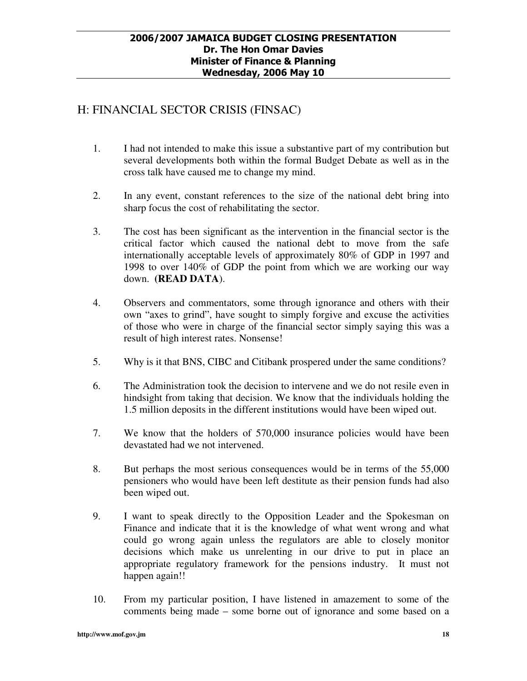## H: FINANCIAL SECTOR CRISIS (FINSAC)

- 1. I had not intended to make this issue a substantive part of my contribution but several developments both within the formal Budget Debate as well as in the cross talk have caused me to change my mind.
- 2. In any event, constant references to the size of the national debt bring into sharp focus the cost of rehabilitating the sector.
- 3. The cost has been significant as the intervention in the financial sector is the critical factor which caused the national debt to move from the safe internationally acceptable levels of approximately 80% of GDP in 1997 and 1998 to over 140% of GDP the point from which we are working our way down. **(READ DATA**).
- 4. Observers and commentators, some through ignorance and others with their own "axes to grind", have sought to simply forgive and excuse the activities of those who were in charge of the financial sector simply saying this was a result of high interest rates. Nonsense!
- 5. Why is it that BNS, CIBC and Citibank prospered under the same conditions?
- 6. The Administration took the decision to intervene and we do not resile even in hindsight from taking that decision. We know that the individuals holding the 1.5 million deposits in the different institutions would have been wiped out.
- 7. We know that the holders of 570,000 insurance policies would have been devastated had we not intervened.
- 8. But perhaps the most serious consequences would be in terms of the 55,000 pensioners who would have been left destitute as their pension funds had also been wiped out.
- 9. I want to speak directly to the Opposition Leader and the Spokesman on Finance and indicate that it is the knowledge of what went wrong and what could go wrong again unless the regulators are able to closely monitor decisions which make us unrelenting in our drive to put in place an appropriate regulatory framework for the pensions industry. It must not happen again!!
- 10. From my particular position, I have listened in amazement to some of the comments being made – some borne out of ignorance and some based on a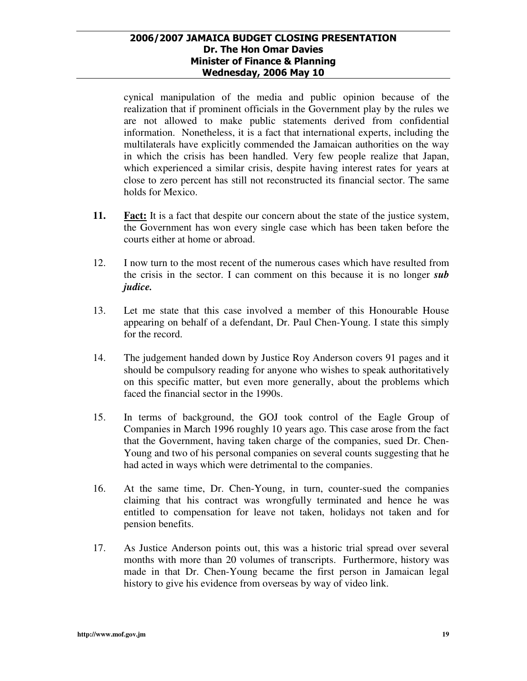cynical manipulation of the media and public opinion because of the realization that if prominent officials in the Government play by the rules we are not allowed to make public statements derived from confidential information. Nonetheless, it is a fact that international experts, including the multilaterals have explicitly commended the Jamaican authorities on the way in which the crisis has been handled. Very few people realize that Japan, which experienced a similar crisis, despite having interest rates for years at close to zero percent has still not reconstructed its financial sector. The same holds for Mexico.

- **11.** Fact: It is a fact that despite our concern about the state of the justice system, the Government has won every single case which has been taken before the courts either at home or abroad.
- 12. I now turn to the most recent of the numerous cases which have resulted from the crisis in the sector. I can comment on this because it is no longer *sub judice.*
- 13. Let me state that this case involved a member of this Honourable House appearing on behalf of a defendant, Dr. Paul Chen-Young. I state this simply for the record.
- 14. The judgement handed down by Justice Roy Anderson covers 91 pages and it should be compulsory reading for anyone who wishes to speak authoritatively on this specific matter, but even more generally, about the problems which faced the financial sector in the 1990s.
- 15. In terms of background, the GOJ took control of the Eagle Group of Companies in March 1996 roughly 10 years ago. This case arose from the fact that the Government, having taken charge of the companies, sued Dr. Chen-Young and two of his personal companies on several counts suggesting that he had acted in ways which were detrimental to the companies.
- 16. At the same time, Dr. Chen-Young, in turn, counter-sued the companies claiming that his contract was wrongfully terminated and hence he was entitled to compensation for leave not taken, holidays not taken and for pension benefits.
- 17. As Justice Anderson points out, this was a historic trial spread over several months with more than 20 volumes of transcripts. Furthermore, history was made in that Dr. Chen-Young became the first person in Jamaican legal history to give his evidence from overseas by way of video link.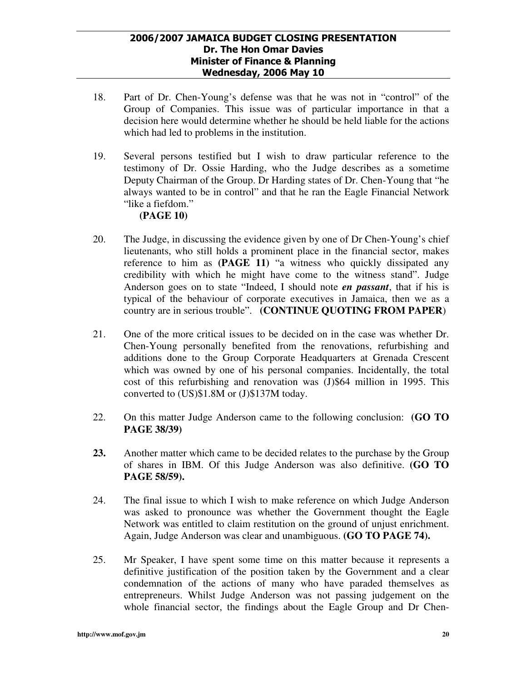- 18. Part of Dr. Chen-Young's defense was that he was not in "control" of the Group of Companies. This issue was of particular importance in that a decision here would determine whether he should be held liable for the actions which had led to problems in the institution.
- 19. Several persons testified but I wish to draw particular reference to the testimony of Dr. Ossie Harding, who the Judge describes as a sometime Deputy Chairman of the Group. Dr Harding states of Dr. Chen-Young that "he always wanted to be in control" and that he ran the Eagle Financial Network "like a fiefdom."

### **(PAGE 10)**

- 20. The Judge, in discussing the evidence given by one of Dr Chen-Young's chief lieutenants, who still holds a prominent place in the financial sector, makes reference to him as **(PAGE 11)** "a witness who quickly dissipated any credibility with which he might have come to the witness stand". Judge Anderson goes on to state "Indeed, I should note *en passant*, that if his is typical of the behaviour of corporate executives in Jamaica, then we as a country are in serious trouble". **(CONTINUE QUOTING FROM PAPER**)
- 21. One of the more critical issues to be decided on in the case was whether Dr. Chen-Young personally benefited from the renovations, refurbishing and additions done to the Group Corporate Headquarters at Grenada Crescent which was owned by one of his personal companies. Incidentally, the total cost of this refurbishing and renovation was (J)\$64 million in 1995. This converted to (US)\$1.8M or (J)\$137M today.
- 22. On this matter Judge Anderson came to the following conclusion: **(GO TO PAGE 38/39)**
- **23.** Another matter which came to be decided relates to the purchase by the Group of shares in IBM. Of this Judge Anderson was also definitive. **(GO TO PAGE 58/59).**
- 24. The final issue to which I wish to make reference on which Judge Anderson was asked to pronounce was whether the Government thought the Eagle Network was entitled to claim restitution on the ground of unjust enrichment. Again, Judge Anderson was clear and unambiguous. **(GO TO PAGE 74).**
- 25. Mr Speaker, I have spent some time on this matter because it represents a definitive justification of the position taken by the Government and a clear condemnation of the actions of many who have paraded themselves as entrepreneurs. Whilst Judge Anderson was not passing judgement on the whole financial sector, the findings about the Eagle Group and Dr Chen-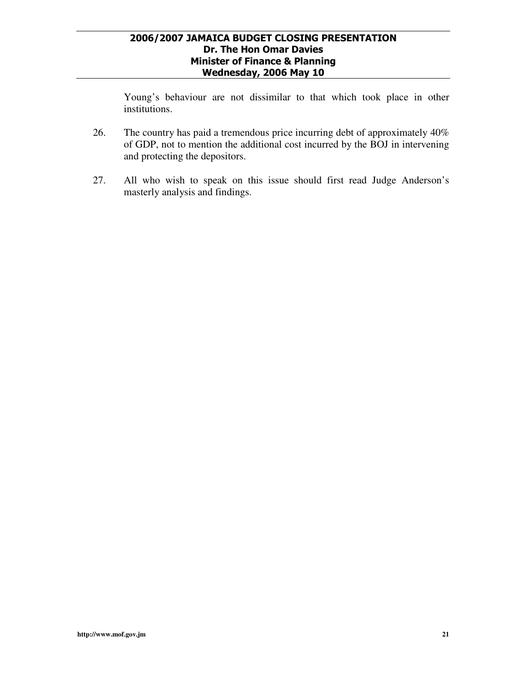Young's behaviour are not dissimilar to that which took place in other institutions.

- 26. The country has paid a tremendous price incurring debt of approximately 40% of GDP, not to mention the additional cost incurred by the BOJ in intervening and protecting the depositors.
- 27. All who wish to speak on this issue should first read Judge Anderson's masterly analysis and findings.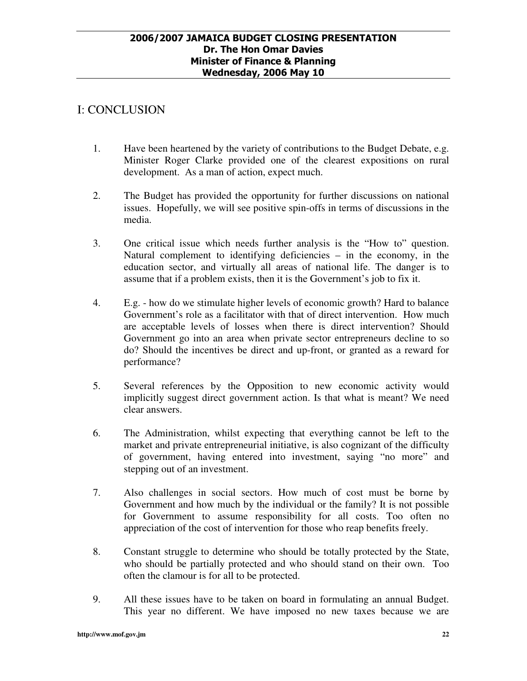### I: CONCLUSION

- 1. Have been heartened by the variety of contributions to the Budget Debate, e.g. Minister Roger Clarke provided one of the clearest expositions on rural development. As a man of action, expect much.
- 2. The Budget has provided the opportunity for further discussions on national issues. Hopefully, we will see positive spin-offs in terms of discussions in the media.
- 3. One critical issue which needs further analysis is the "How to" question. Natural complement to identifying deficiencies – in the economy, in the education sector, and virtually all areas of national life. The danger is to assume that if a problem exists, then it is the Government's job to fix it.
- 4. E.g. how do we stimulate higher levels of economic growth? Hard to balance Government's role as a facilitator with that of direct intervention. How much are acceptable levels of losses when there is direct intervention? Should Government go into an area when private sector entrepreneurs decline to so do? Should the incentives be direct and up-front, or granted as a reward for performance?
- 5. Several references by the Opposition to new economic activity would implicitly suggest direct government action. Is that what is meant? We need clear answers.
- 6. The Administration, whilst expecting that everything cannot be left to the market and private entrepreneurial initiative, is also cognizant of the difficulty of government, having entered into investment, saying "no more" and stepping out of an investment.
- 7. Also challenges in social sectors. How much of cost must be borne by Government and how much by the individual or the family? It is not possible for Government to assume responsibility for all costs. Too often no appreciation of the cost of intervention for those who reap benefits freely.
- 8. Constant struggle to determine who should be totally protected by the State, who should be partially protected and who should stand on their own. Too often the clamour is for all to be protected.
- 9. All these issues have to be taken on board in formulating an annual Budget. This year no different. We have imposed no new taxes because we are